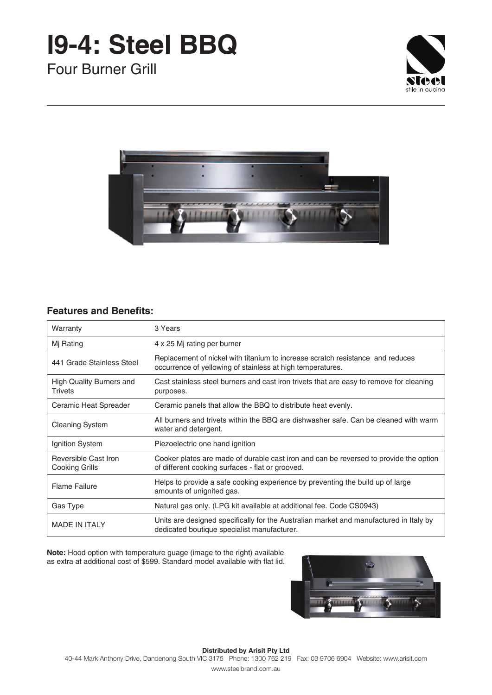# **I9-4: Steel BBQ**

Four Burner Grill





### **Features and Benefits:**

| Warranty                                          | 3 Years                                                                                                                                      |
|---------------------------------------------------|----------------------------------------------------------------------------------------------------------------------------------------------|
| Mj Rating                                         | 4 x 25 Mj rating per burner                                                                                                                  |
| 441 Grade Stainless Steel                         | Replacement of nickel with titanium to increase scratch resistance and reduces<br>occurrence of yellowing of stainless at high temperatures. |
| <b>High Quality Burners and</b><br><b>Trivets</b> | Cast stainless steel burners and cast iron trivets that are easy to remove for cleaning<br>purposes.                                         |
| Ceramic Heat Spreader                             | Ceramic panels that allow the BBQ to distribute heat evenly.                                                                                 |
| <b>Cleaning System</b>                            | All burners and trivets within the BBQ are dishwasher safe. Can be cleaned with warm<br>water and detergent.                                 |
| Ignition System                                   | Piezoelectric one hand ignition                                                                                                              |
| Reversible Cast Iron<br>Cooking Grills            | Cooker plates are made of durable cast iron and can be reversed to provide the option<br>of different cooking surfaces - flat or grooved.    |
| <b>Flame Failure</b>                              | Helps to provide a safe cooking experience by preventing the build up of large<br>amounts of unignited gas.                                  |
| Gas Type                                          | Natural gas only. (LPG kit available at additional fee. Code CS0943)                                                                         |
| <b>MADE IN ITALY</b>                              | Units are designed specifically for the Australian market and manufactured in Italy by<br>dedicated boutique specialist manufacturer.        |

**Note:** Hood option with temperature guage (image to the right) available as extra at additional cost of \$599. Standard model available with flat lid.



### **Distributed by Arisit Pty Ltd**

40-44 Mark Anthony Drive, Dandenong South VIC 3175 Phone: 1300 762 219 Fax: 03 9706 6904 Website: www.arisit.com

www.steelbrand.com.au